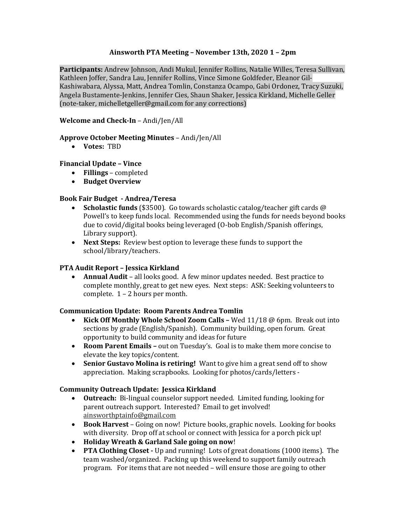# **Ainsworth PTA Meeting – November 13th, 2020 1 – 2pm**

**Participants:** Andrew Johnson, Andi Mukul, Jennifer Rollins, Natalie Willes, Teresa Sullivan, Kathleen Joffer, Sandra Lau, Jennifer Rollins, Vince Simone Goldfeder, Eleanor Gil-Kashiwabara, Alyssa, Matt, Andrea Tomlin, Constanza Ocampo, Gabi Ordonez, Tracy Suzuki, Angela Bustamente-Jenkins, Jennifer Cies, Shaun Shaker, Jessica Kirkland, Michelle Geller (note-taker, michelletgeller@gmail.com for any corrections)

# **Welcome and Check-In** – Andi/Jen/All

## **Approve October Meeting Minutes** – Andi/Jen/All

**Votes:** TBD

## **Financial Update – Vince**

- **Fillings** completed
- **Budget Overview**

## **Book Fair Budget - Andrea/Teresa**

- **Scholastic funds** (\$3500). Go towards scholastic catalog/teacher gift cards @ Powell's to keep funds local. Recommended using the funds for needs beyond books due to covid/digital books being leveraged (O-bob English/Spanish offerings, Library support).
- **Next Steps:** Review best option to leverage these funds to support the school/library/teachers.

# **PTA Audit Report – Jessica Kirkland**

 **Annual Audit** – all looks good. A few minor updates needed. Best practice to complete monthly, great to get new eyes. Next steps: ASK: Seeking volunteers to complete. 1 – 2 hours per month.

#### **Communication Update: Room Parents Andrea Tomlin**

- **Kick Off Monthly Whole School Zoom Calls –** Wed 11/18 @ 6pm. Break out into sections by grade (English/Spanish). Community building, open forum. Great opportunity to build community and ideas for future
- **Room Parent Emails –** out on Tuesday's. Goal is to make them more concise to elevate the key topics/content.
- **Senior Gustavo Molina is retiring!** Want to give him a great send off to show appreciation. Making scrapbooks. Looking for photos/cards/letters -

#### **Community Outreach Update: Jessica Kirkland**

- **Outreach:** Bi-lingual counselor support needed. Limited funding, looking for parent outreach support. Interested? Email to get involved! ainsworthptainfo@gmail.com
- **Book Harvest** Going on now! Picture books, graphic novels. Looking for books with diversity. Drop off at school or connect with Jessica for a porch pick up!
- **Holiday Wreath & Garland Sale going on now**!
- **PTA Clothing Closet -** Up and running! Lots of great donations (1000 items). The team washed/organized. Packing up this weekend to support family outreach program. For items that are not needed – will ensure those are going to other